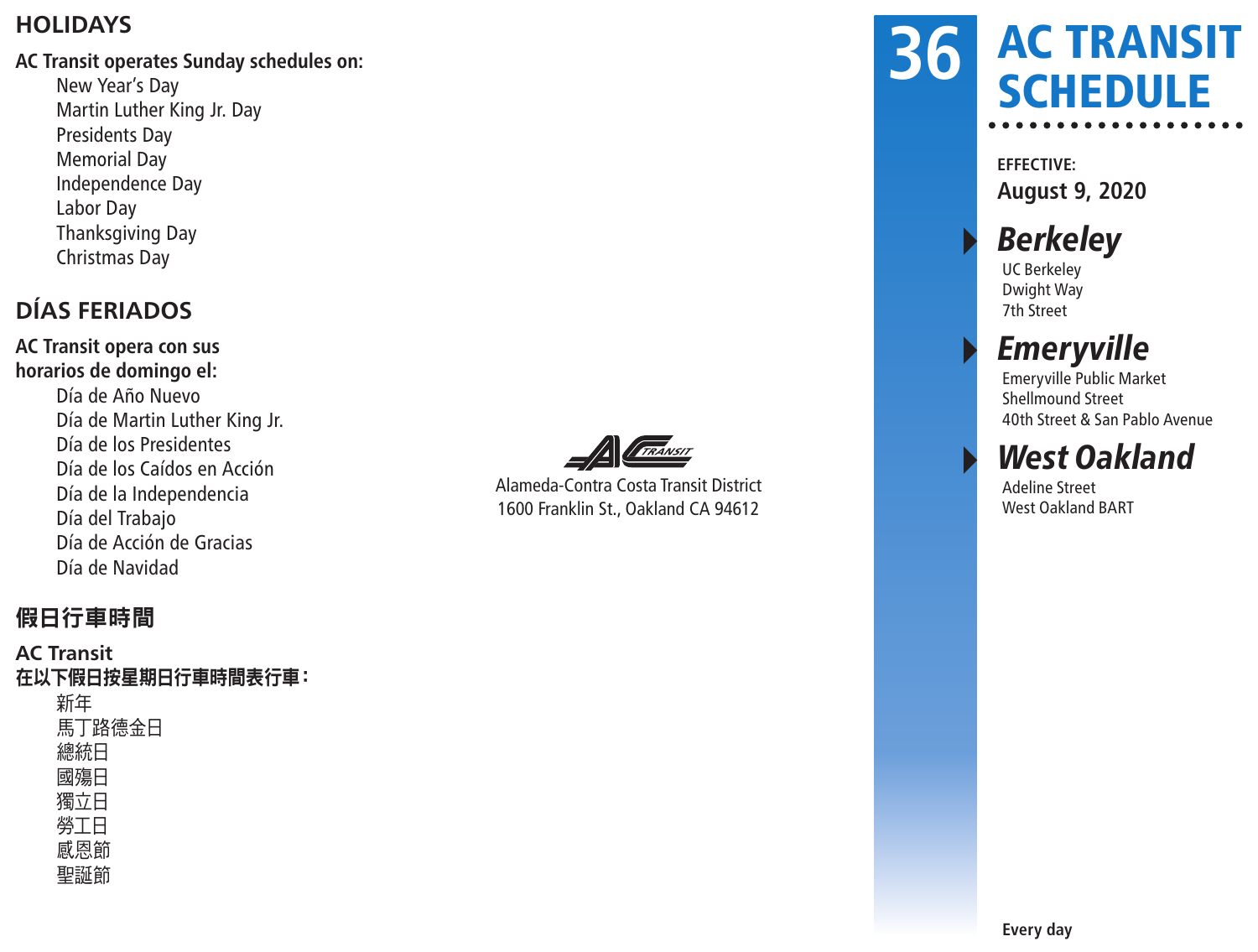#### **HOLIDAYS**

#### **AC Transit operates Sunday schedules on:**

New Year's Day Martin Luther King Jr. Day Presidents Day Memorial Day Independence Day Labor Day Thanksgiving Day Christmas Day

### **DÍAS FERIADOS**

**AC Transit opera con sus horarios de domingo el:** Día de Año Nuevo Día de Martin Luther King Jr. Día de los Presidentes Día de los Caídos en Acción Día de la Independencia Día del Trabajo Día de Acción de Gracias Día de Navidad



Alameda-Contra Costa Transit District 1600 Franklin St., Oakland CA 94612

### AC TRANSIT **SCHEDULE 36**

**EFFECTIVE: August 9, 2020**

## **Berkeley**

UC Berkeley Dwight Way 7th Street

## **Emeryville**

Emeryville Public Market Shellmound Street 40th Street & San Pablo Avenue

## **West Oakland**

Adeline Street West Oakland BART

#### 假日行車時間

#### **AC Transit** 在以下假日按星期日行車時間表行車: 新年 馬丁路德金日 總統日 國殤日 獨立日 勞工日 感恩節 聖誕節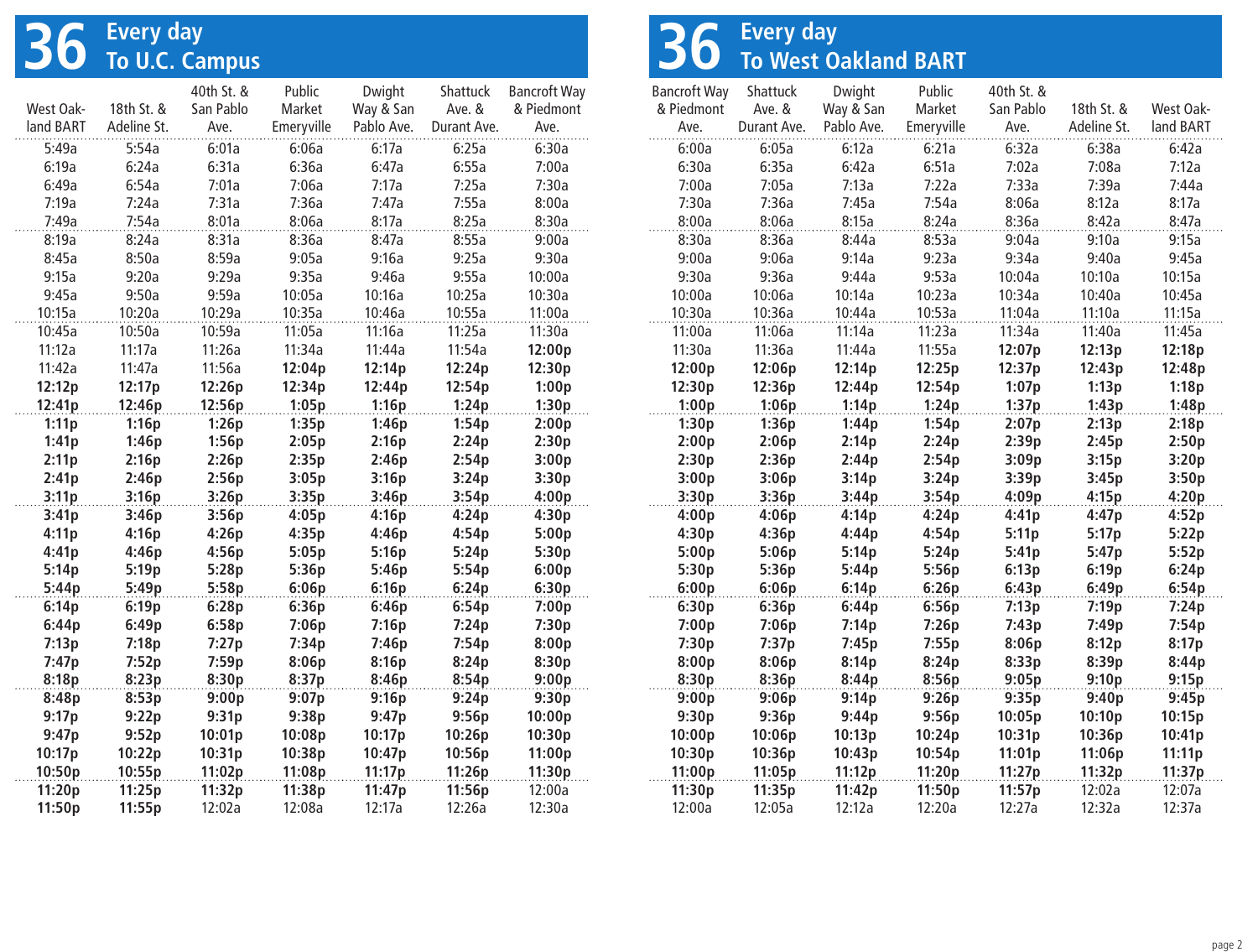# **36 Every day To U.C. Campus**

|           |             | 40th St. & | Public     | Dwight     | <b>Shattuck</b> | <b>Bancroft Way</b> |
|-----------|-------------|------------|------------|------------|-----------------|---------------------|
| West Oak- | 18th St. &  | San Pablo  | Market     | Way & San  | Ave. &          | & Piedmont          |
| land BART | Adeline St. | Ave.       | Emeryville | Pablo Ave. | Durant Ave.     | Ave.                |
| 5:49a     | 5:54a       | 6:01a      | 6:06a      | 6:17a      | 6:25a           | 6:30a               |
| 6:19a     | 6:24a       | 6:31a      | 6:36a      | 6:47a      | 6:55a           | 7:00a               |
| 6:49a     | 6:54a       | 7:01a      | 7:06a      | 7:17a      | 7:25a           | 7:30a               |
| 7:19a     | 7:24a       | 7:31a      | 7:36a      | 7:47a      | 7:55a           | 8:00a               |
| 7:49a     | 7:54a       | 8:01a      | 8:06a      | 8:17a      | 8:25a           | 8:30a               |
| 8:19a     | 8:24a       | 8:31a      | 8:36a      | 8:47a      | 8:55a           | 9:00a               |
| 8:45a     | 8:50a       | 8:59a      | 9:05a      | 9:16a      | 9:25a           | 9:30a               |
| 9:15a     | 9:20a       | 9:29a      | 9:35a      | 9:46a      | 9:55a           | 10:00a              |
| 9:45a     | 9:50a       | 9:59a      | 10:05a     | 10:16a     | 10:25a          | 10:30a              |
| 10:15a    | 10:20a      | 10:29a     | 10:35a     | 10:46a     | 10:55a          | 11:00a              |
| 10:45a    | 10:50a      | 10:59a     | 11:05a     | 11:16a     | 11:25a          | 11:30a              |
| 11:12a    | 11:17a      | 11:26a     | 11:34a     | 11:44a     | 11:54a          | 12:00p              |
| 11:42a    | 11:47a      | 11:56a     | 12:04p     | 12:14p     | 12:24p          | 12:30p              |
| 12:12p    | 12:17p      | 12:26p     | 12:34p     | 12:44p     | 12:54p          | 1:00p               |
| 12:41p    | 12:46p      | 12:56p     | 1:05p      | 1:16p      | 1:24p           | 1:30p               |
| 1:11p     | 1:16p       | 1:26p      | 1:35p      | 1:46p      | 1:54p           | 2:00p               |
| 1:41p     | 1:46p       | 1:56p      | 2:05p      | 2:16p      | 2:24p           | 2:30p               |
| 2:11p     | 2:16p       | 2:26p      | 2:35p      | 2:46p      | 2:54p           | 3:00p               |
| 2:41p     | 2:46p       | 2:56p      | 3:05p      | 3:16p      | 3:24p           | 3:30p               |
| 3:11p     | 3:16p       | 3:26p      | 3:35p      | 3:46p      | 3:54p           | 4:00p               |
| 3:41p     | 3:46p       | 3:56p      | 4:05p      | 4:16p      | 4:24p           | 4:30p               |
| 4:11p     | 4:16p       | 4:26p      | 4:35p      | 4:46p      | 4:54p           | 5:00p               |
| 4:41p     | 4:46p       | 4:56p      | 5:05p      | 5:16p      | 5:24p           | 5:30p               |
| 5:14p     | 5:19p       | 5:28p      | 5:36p      | 5:46p      | 5:54p           | 6:00p               |
| 5:44p     | 5:49p       | 5:58p      | 6:06p      | 6:16p      | 6:24p           | 6:30p               |
| 6:14p     | 6:19p       | 6:28p      | 6:36p      | 6:46p      | 6:54p           | 7:00p               |
| 6:44p     | 6:49p       | 6:58p      | 7:06p      | 7:16p      | 7:24p           | 7:30p               |
| 7:13p     | 7:18p       | 7:27p      | 7:34p      | 7:46p      | 7:54p           | 8:00p               |
| 7:47p     | 7:52p       | 7:59p      | 8:06p      | 8:16p      | 8:24p           | 8:30p               |
| 8:18p     | 8:23p       | 8:30p      | 8:37p      | 8:46p      | 8:54p           | 9:00p               |
| 8:48p     | 8:53p       | 9:00p      | 9:07p      | 9:16p      | 9:24p           | 9:30p               |
| 9:17p     | 9:22p       | 9:31p      | 9:38p      | 9:47p      | 9:56p           | 10:00p              |
| 9:47p     | 9:52p       | 10:01p     | 10:08p     | 10:17p     | 10:26p          | 10:30p              |
| 10:17p    | 10:22p      | 10:31p     | 10:38p     | 10:47p     | 10:56p          | 11:00p              |
| 10:50p    | 10:55p      | 11:02p     | 11:08p     | 11:17p     | 11:26p          | 11:30p              |
| 11:20p    | 11:25p      | 11:32p     | 11:38p     | 11:47p     | 11:56p          | 12:00a              |
| 11:50p    | 11:55p      | 12:02a     | 12:08a     | 12:17a     | 12:26a          | 12:30a              |

# **36 Every day To West Oakland BART**

| <b>Bancroft Way</b> | Shattuck         | Dwight           | Public           | 40th St. &       |                  |                  |
|---------------------|------------------|------------------|------------------|------------------|------------------|------------------|
| & Piedmont          | Ave. &           | Way & San        | Market           | San Pablo        | 18th St. &       | West Oak-        |
| Ave.                | Durant Ave.      | Pablo Ave.       | Emeryville       | Ave.             | Adeline St.      | land BART        |
| 6:00a               | 6:05a            | 6:12a            | 6:21a            | 6:32a            | 6:38a            | 6:42a            |
| 6:30a               | 6:35a            | 6:42a            | 6:51a            | 7:02a            | 7:08a            | 7:12a            |
| 7:00a               | 7:05a            | 7:13a            | 7:22a            | 7:33a            | 7:39a            | 7:44a            |
| 7:30a               | 7:36a            | 7:45a            | 7:54a            | 8:06a            | 8:12a            | 8:17a            |
| 8:00a               | 8:06a            | 8:15a            | 8:24a            | 8:36a            | 8:42a            | 8:47a            |
| 8:30a               | 8:36a            | 8:44a            | 8:53a            | 9:04a            | 9:10a            | 9:15a            |
| 9:00a               | 9:06a            | 9:14a            | 9:23a            | 9:34a            | 9:40a            | 9:45a            |
| 9:30a               | 9:36a            | 9:44a            | 9:53a            | 10:04a           | 10:10a           | 10:15a           |
| 10:00a              | 10:06a           | 10:14a           | 10:23a           | 10:34a           | 10:40a           | 10:45a           |
| 10:30a              | 10:36a           | 10:44a           | 10:53a           | 11:04a           | 11:10a           | 11:15a           |
| 11:00a              | 11:06a           | 11:14a           | 11:23a           | 11:34a           | 11:40a           | 11:45a           |
| 11:30a              | 11:36a           | 11:44a           | 11:55a           | 12:07p           | 12:13p           | 12:18p           |
| 12:00p              | 12:06p           | 12:14p           | 12:25p           | 12:37p           | 12:43p           | 12:48p           |
| 12:30p              | 12:36p           | 12:44p           | 12:54p           | 1:07p            | 1:13p            | 1:18p            |
| 1:00p               | 1:06p            | 1:14p            | 1:24p            | 1:37p            | 1:43p            | 1:48p            |
| 1:30p               | 1:36p            | 1:44p            | 1:54p            | 2:07p            | 2:13p            | 2:18p            |
| 2:00p               | 2:06p            | 2:14p            | 2:24p            | 2:39p            | 2:45p            | 2:50p            |
| 2:30p               | 2:36p            | 2:44p            | 2:54p            | 3:09p            | 3:15p            | 3:20p            |
| 3:00p               | 3:06p            | 3:14p            | 3:24p            | 3:39p            | 3:45p            | 3:50p            |
| 3:30p               | 3:36p            | 3:44p            | 3:54p            | 4:09p            | 4:15p            | 4:20p            |
| 4:00p               | 4:06p            | 4:14p            | 4:24p            | 4:41p            | 4:47p            | 4:52p            |
| 4:30p               | 4:36p            | 4:44p            | 4:54p            | 5:11p            | 5:17p            | 5:22p            |
| 5:00p               | 5:06p            | 5:14p            | 5:24p            | 5:41p            | 5:47p            | 5:52p            |
| 5:30p               | 5:36p            | 5:44p            | 5:56p            | 6:13p            | 6:19p            | 6:24p            |
| 6:00p               | 6:06p            | 6:14p            | 6:26p            | 6:43p            | 6:49p            | 6:54p            |
| 6:30p               | 6:36p            | 6:44p            | 6:56p            | 7:13p            | 7:19p            | 7:24p            |
| 7:00p               | 7:06p            | 7:14p            | 7:26p            | 7:43p            | 7:49p            | 7:54p            |
| 7:30p               | 7:37p            | 7:45p            | 7:55p            | 8:06p            | 8:12p            | 8:17p            |
| 8:00p               | 8:06p            | 8:14p            | 8:24p            | 8:33p            | 8:39p            | 8:44p            |
| 8:30p               | 8:36p            | 8:44p            | 8:56p            | 9:05p            | 9:10p            | 9:15p            |
| 9:00p               | 9:06p            | 9:14p            | 9:26p            | 9:35p            | 9:40p            | 9:45p            |
| 9:30p               | 9:36p            | 9:44p            | 9:56p            | 10:05p           | 10:10p           | 10:15p           |
| 10:00p              | 10:06p           | 10:13p           | 10:24p           | 10:31p           | 10:36p           | 10:41p           |
| 10:30p              | 10:36p           | 10:43p           | 10:54p           | 11:01p           | 11:06p           | 11:11p           |
| 11:00p<br>11:30p    | 11:05p<br>11:35p | 11:12p<br>11:42p | 11:20p<br>11:50p | 11:27p<br>11:57p | 11:32p<br>12:02a | 11:37p<br>12:07a |
| 12:00a              | 12:05a           | 12:12a           | 12:20a           | 12:27a           | 12:32a           | 12:37a           |
|                     |                  |                  |                  |                  |                  |                  |